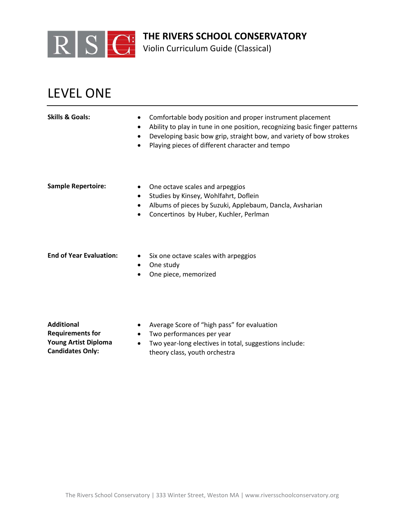

Violin Curriculum Guide (Classical)

## LEVEL ONE

| <b>Skills &amp; Goals:</b>     | Comfortable body position and proper instrument placement<br>$\bullet$<br>Ability to play in tune in one position, recognizing basic finger patterns<br>٠<br>Developing basic bow grip, straight bow, and variety of bow strokes<br>Playing pieces of different character and tempo<br>٠ |
|--------------------------------|------------------------------------------------------------------------------------------------------------------------------------------------------------------------------------------------------------------------------------------------------------------------------------------|
| <b>Sample Repertoire:</b>      | One octave scales and arpeggios<br>$\bullet$<br>Studies by Kinsey, Wohlfahrt, Doflein<br>٠<br>Albums of pieces by Suzuki, Applebaum, Dancla, Avsharian<br>٠<br>Concertinos by Huber, Kuchler, Perlman<br>٠                                                                               |
| <b>End of Year Evaluation:</b> | Six one octave scales with arpeggios<br><del>.</del>                                                                                                                                                                                                                                     |

- One study
- One piece, memorized

**Additional Requirements for Young Artist Diploma Candidates Only:**

- Average Score of "high pass" for evaluation
- Two performances per year
- Two year-long electives in total, suggestions include: theory class, youth orchestra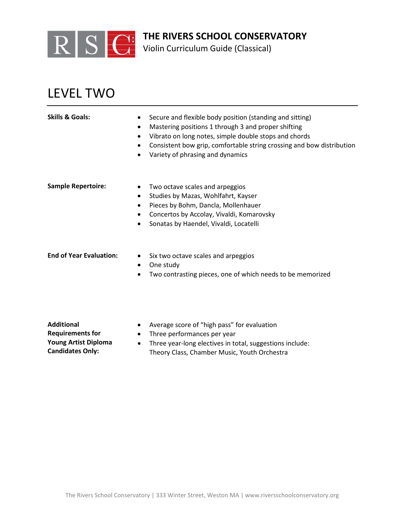

Violin Curriculum Guide (Classical)

## LEVEL TWO

| <b>Skills &amp; Goals:</b>     | Secure and flexible body position (standing and sitting)<br>$\bullet$<br>Mastering positions 1 through 3 and proper shifting<br>$\bullet$<br>Vibrato on long notes, simple double stops and chords<br>Consistent bow grip, comfortable string crossing and bow distribution<br>Variety of phrasing and dynamics |
|--------------------------------|-----------------------------------------------------------------------------------------------------------------------------------------------------------------------------------------------------------------------------------------------------------------------------------------------------------------|
| <b>Sample Repertoire:</b>      | Two octave scales and arpeggios<br>$\bullet$<br>Studies by Mazas, Wohlfahrt, Kayser<br>$\bullet$<br>Pieces by Bohm, Dancla, Mollenhauer<br>Concertos by Accolay, Vivaldi, Komarovsky<br>$\bullet$<br>Sonatas by Haendel, Vivaldi, Locatelli<br>٠                                                                |
| <b>End of Year Evaluation:</b> | Six two octave scales and arpeggios<br>$\bullet$<br>One study<br>٠<br>Two contrasting pieces, one of which needs to be memorized                                                                                                                                                                                |

**Additional Requirements for Young Artist Diploma Candidates Only:**

- Average score of "high pass" for evaluation
- Three performances per year
- Three year-long electives in total, suggestions include: Theory Class, Chamber Music, Youth Orchestra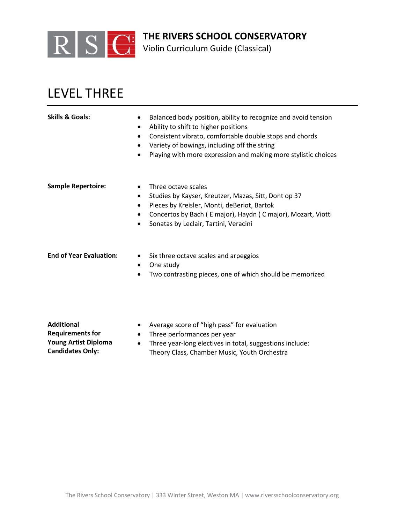

Violin Curriculum Guide (Classical)

## LEVEL THREE

| <b>Skills &amp; Goals:</b>     | Balanced body position, ability to recognize and avoid tension<br>Ability to shift to higher positions<br>Consistent vibrato, comfortable double stops and chords<br>Variety of bowings, including off the string<br>$\bullet$<br>Playing with more expression and making more stylistic choices<br>٠ |
|--------------------------------|-------------------------------------------------------------------------------------------------------------------------------------------------------------------------------------------------------------------------------------------------------------------------------------------------------|
| <b>Sample Repertoire:</b>      | Three octave scales<br>$\bullet$<br>Studies by Kayser, Kreutzer, Mazas, Sitt, Dont op 37<br>$\bullet$<br>Pieces by Kreisler, Monti, deBeriot, Bartok<br>٠<br>Concertos by Bach (Emajor), Haydn (Cmajor), Mozart, Viotti<br>٠<br>Sonatas by Leclair, Tartini, Veracini                                 |
| <b>End of Year Evaluation:</b> | Six three octave scales and arpeggios<br>$\bullet$<br>One study<br>٠                                                                                                                                                                                                                                  |

• Two contrasting pieces, one of which should be memorized

**Additional Requirements for Young Artist Diploma Candidates Only:**

- Average score of "high pass" for evaluation
- Three performances per year
- Three year-long electives in total, suggestions include: Theory Class, Chamber Music, Youth Orchestra